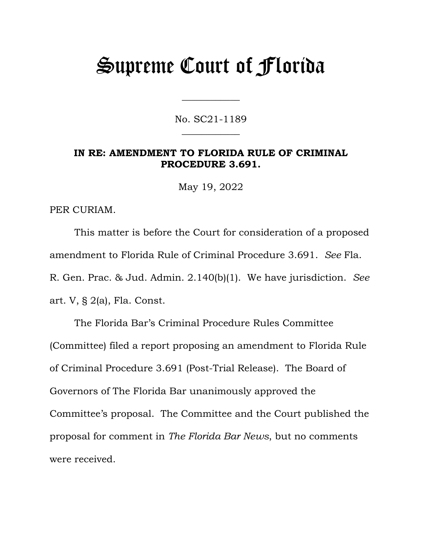# Supreme Court of Florida

No. SC21-1189  $\overline{\phantom{a}}$ 

 $\overline{\phantom{a}}$ 

## **IN RE: AMENDMENT TO FLORIDA RULE OF CRIMINAL PROCEDURE 3.691.**

May 19, 2022

PER CURIAM.

This matter is before the Court for consideration of a proposed amendment to Florida Rule of Criminal Procedure 3.691. *See* Fla. R. Gen. Prac. & Jud. Admin. 2.140(b)(1). We have jurisdiction. *See* art. V, § 2(a), Fla. Const.

The Florida Bar's Criminal Procedure Rules Committee (Committee) filed a report proposing an amendment to Florida Rule of Criminal Procedure 3.691 (Post-Trial Release). The Board of Governors of The Florida Bar unanimously approved the Committee's proposal. The Committee and the Court published the proposal for comment in *The Florida Bar News*, but no comments were received.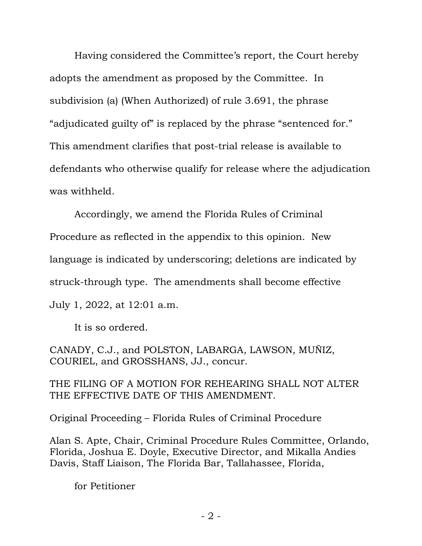Having considered the Committee's report, the Court hereby adopts the amendment as proposed by the Committee. In subdivision (a) (When Authorized) of rule 3.691, the phrase "adjudicated guilty of" is replaced by the phrase "sentenced for." This amendment clarifies that post-trial release is available to defendants who otherwise qualify for release where the adjudication was withheld.

Accordingly, we amend the Florida Rules of Criminal Procedure as reflected in the appendix to this opinion. New language is indicated by underscoring; deletions are indicated by struck-through type. The amendments shall become effective July 1, 2022, at 12:01 a.m.

It is so ordered.

CANADY, C.J., and POLSTON, LABARGA, LAWSON, MUÑIZ, COURIEL, and GROSSHANS, JJ., concur.

THE FILING OF A MOTION FOR REHEARING SHALL NOT ALTER THE EFFECTIVE DATE OF THIS AMENDMENT.

Original Proceeding – Florida Rules of Criminal Procedure

Alan S. Apte, Chair, Criminal Procedure Rules Committee, Orlando, Florida, Joshua E. Doyle, Executive Director, and Mikalla Andies Davis, Staff Liaison, The Florida Bar, Tallahassee, Florida,

for Petitioner